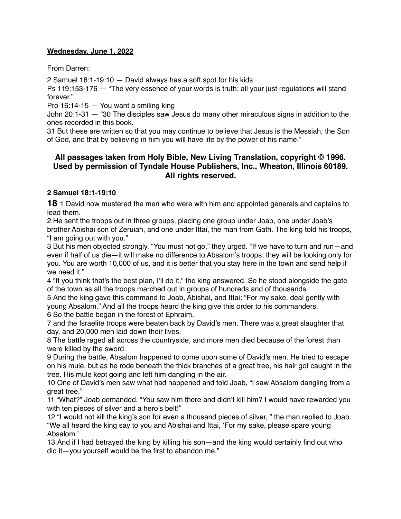#### **Wednesday, June 1, 2022**

From Darren:

2 Samuel 18:1-19:10 — David always has a soft spot for his kids

Ps 119:153-176 — "The very essence of your words is truth; all your just regulations will stand forever."

Pro 16:14-15 — You want a smiling king

John 20:1-31 — "30 The disciples saw Jesus do many other miraculous signs in addition to the ones recorded in this book.

31 But these are written so that you may continue to believe that Jesus is the Messiah, the Son of God, and that by believing in him you will have life by the power of his name."

# **All passages taken from Holy Bible, [New Living Translation](http://www.newlivingtranslation.com/), copyright © 1996. Used by permission of [Tyndale House Publishers](http://tyndale.com/), Inc., Wheaton, Illinois 60189. All rights reserved.**

#### **2 Samuel 18:1-19:10**

**18** 1 David now mustered the men who were with him and appointed generals and captains to lead them.

2 He sent the troops out in three groups, placing one group under Joab, one under Joab's brother Abishai son of Zeruiah, and one under Ittai, the man from Gath. The king told his troops, "I am going out with you."

3 But his men objected strongly. "You must not go," they urged. "If we have to turn and run—and even if half of us die—it will make no difference to Absalom's troops; they will be looking only for you. You are worth 10,000 of us, and it is better that you stay here in the town and send help if we need it."

4 "If you think that's the best plan, I'll do it," the king answered. So he stood alongside the gate of the town as all the troops marched out in groups of hundreds and of thousands.

5 And the king gave this command to Joab, Abishai, and Ittai: "For my sake, deal gently with young Absalom." And all the troops heard the king give this order to his commanders. 6 So the battle began in the forest of Ephraim,

7 and the Israelite troops were beaten back by David's men. There was a great slaughter that day, and 20,000 men laid down their lives.

8 The battle raged all across the countryside, and more men died because of the forest than were killed by the sword.

9 During the battle, Absalom happened to come upon some of David's men. He tried to escape on his mule, but as he rode beneath the thick branches of a great tree, his hair got caught in the tree. His mule kept going and left him dangling in the air.

10 One of David's men saw what had happened and told Joab, "I saw Absalom dangling from a great tree."

11 "What?" Joab demanded. "You saw him there and didn't kill him? I would have rewarded you with ten pieces of silver and a hero's belt!"

12 "I would not kill the king's son for even a thousand pieces of silver, " the man replied to Joab. "We all heard the king say to you and Abishai and Ittai, 'For my sake, please spare young Absalom.'

13 And if I had betrayed the king by killing his son—and the king would certainly find out who did it—you yourself would be the first to abandon me."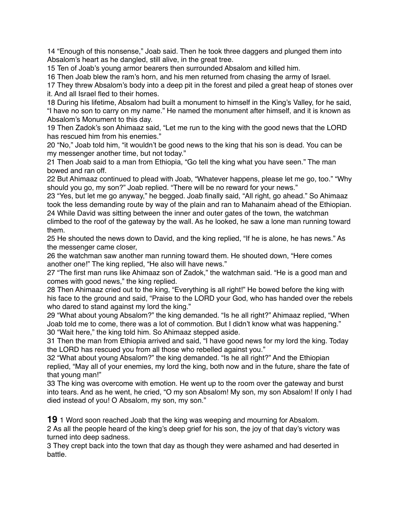14 "Enough of this nonsense," Joab said. Then he took three daggers and plunged them into Absalom's heart as he dangled, still alive, in the great tree.

15 Ten of Joab's young armor bearers then surrounded Absalom and killed him.

16 Then Joab blew the ram's horn, and his men returned from chasing the army of Israel.

17 They threw Absalom's body into a deep pit in the forest and piled a great heap of stones over it. And all Israel fled to their homes.

18 During his lifetime, Absalom had built a monument to himself in the King's Valley, for he said, "I have no son to carry on my name." He named the monument after himself, and it is known as Absalom's Monument to this day.

19 Then Zadok's son Ahimaaz said, "Let me run to the king with the good news that the LORD has rescued him from his enemies."

20 "No," Joab told him, "it wouldn't be good news to the king that his son is dead. You can be my messenger another time, but not today."

21 Then Joab said to a man from Ethiopia, "Go tell the king what you have seen." The man bowed and ran off.

22 But Ahimaaz continued to plead with Joab, "Whatever happens, please let me go, too." "Why should you go, my son?" Joab replied. "There will be no reward for your news."

23 "Yes, but let me go anyway," he begged. Joab finally said, "All right, go ahead." So Ahimaaz took the less demanding route by way of the plain and ran to Mahanaim ahead of the Ethiopian. 24 While David was sitting between the inner and outer gates of the town, the watchman climbed to the roof of the gateway by the wall. As he looked, he saw a lone man running toward them.

25 He shouted the news down to David, and the king replied, "If he is alone, he has news." As the messenger came closer,

26 the watchman saw another man running toward them. He shouted down, "Here comes another one!" The king replied, "He also will have news."

27 "The first man runs like Ahimaaz son of Zadok," the watchman said. "He is a good man and comes with good news," the king replied.

28 Then Ahimaaz cried out to the king, "Everything is all right!" He bowed before the king with his face to the ground and said, "Praise to the LORD your God, who has handed over the rebels who dared to stand against my lord the king."

29 "What about young Absalom?" the king demanded. "Is he all right?" Ahimaaz replied, "When Joab told me to come, there was a lot of commotion. But I didn't know what was happening." 30 "Wait here," the king told him. So Ahimaaz stepped aside.

31 Then the man from Ethiopia arrived and said, "I have good news for my lord the king. Today the LORD has rescued you from all those who rebelled against you."

32 "What about young Absalom?" the king demanded. "Is he all right?" And the Ethiopian replied, "May all of your enemies, my lord the king, both now and in the future, share the fate of that young man!"

33 The king was overcome with emotion. He went up to the room over the gateway and burst into tears. And as he went, he cried, "O my son Absalom! My son, my son Absalom! If only I had died instead of you! O Absalom, my son, my son."

**19** 1 Word soon reached Joab that the king was weeping and mourning for Absalom. 2 As all the people heard of the king's deep grief for his son, the joy of that day's victory was turned into deep sadness.

3 They crept back into the town that day as though they were ashamed and had deserted in battle.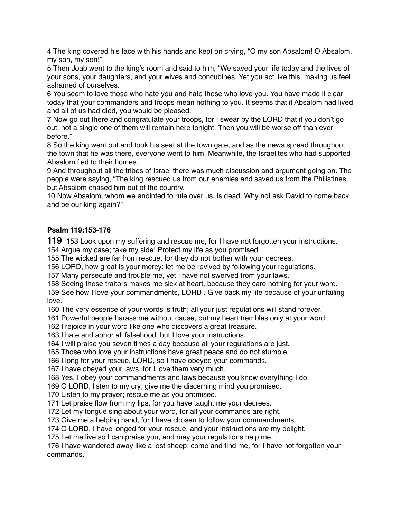The king covered his face with his hands and kept on crying, "O my son Absalom! O Absalom, my son, my son!"

 Then Joab went to the king's room and said to him, "We saved your life today and the lives of your sons, your daughters, and your wives and concubines. Yet you act like this, making us feel ashamed of ourselves.

 You seem to love those who hate you and hate those who love you. You have made it clear today that your commanders and troops mean nothing to you. It seems that if Absalom had lived and all of us had died, you would be pleased.

 Now go out there and congratulate your troops, for I swear by the LORD that if you don't go out, not a single one of them will remain here tonight. Then you will be worse off than ever before."

 So the king went out and took his seat at the town gate, and as the news spread throughout the town that he was there, everyone went to him. Meanwhile, the Israelites who had supported Absalom fled to their homes.

 And throughout all the tribes of Israel there was much discussion and argument going on. The people were saying, "The king rescued us from our enemies and saved us from the Philistines, but Absalom chased him out of the country.

 Now Absalom, whom we anointed to rule over us, is dead. Why not ask David to come back and be our king again?"

## **Psalm 119:153-176**

153 Look upon my suffering and rescue me, for I have not forgotten your instructions. Argue my case; take my side! Protect my life as you promised.

The wicked are far from rescue, for they do not bother with your decrees.

LORD, how great is your mercy; let me be revived by following your regulations.

Many persecute and trouble me, yet I have not swerved from your laws.

Seeing these traitors makes me sick at heart, because they care nothing for your word.

 See how I love your commandments, LORD . Give back my life because of your unfailing love.

The very essence of your words is truth; all your just regulations will stand forever.

Powerful people harass me without cause, but my heart trembles only at your word.

I rejoice in your word like one who discovers a great treasure.

I hate and abhor all falsehood, but I love your instructions.

I will praise you seven times a day because all your regulations are just.

Those who love your instructions have great peace and do not stumble.

I long for your rescue, LORD, so I have obeyed your commands.

I have obeyed your laws, for I love them very much.

Yes, I obey your commandments and laws because you know everything I do.

O LORD, listen to my cry; give me the discerning mind you promised.

Listen to my prayer; rescue me as you promised.

Let praise flow from my lips, for you have taught me your decrees.

Let my tongue sing about your word, for all your commands are right.

Give me a helping hand, for I have chosen to follow your commandments.

O LORD, I have longed for your rescue, and your instructions are my delight.

Let me live so I can praise you, and may your regulations help me.

 I have wandered away like a lost sheep; come and find me, for I have not forgotten your commands.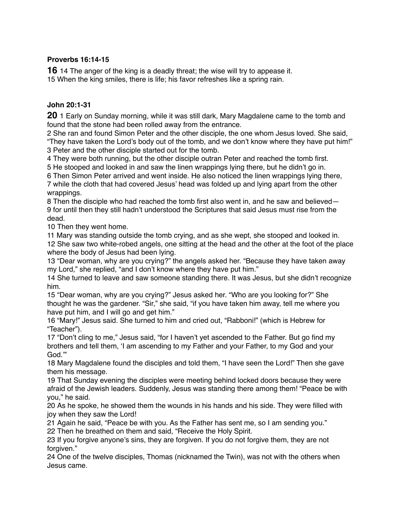## **Proverbs 16:14-15**

**16** 14 The anger of the king is a deadly threat; the wise will try to appease it. 15 When the king smiles, there is life; his favor refreshes like a spring rain.

#### **John 20:1-31**

**20** 1 Early on Sunday morning, while it was still dark, Mary Magdalene came to the tomb and found that the stone had been rolled away from the entrance.

2 She ran and found Simon Peter and the other disciple, the one whom Jesus loved. She said, "They have taken the Lord's body out of the tomb, and we don't know where they have put him!" 3 Peter and the other disciple started out for the tomb.

4 They were both running, but the other disciple outran Peter and reached the tomb first.

5 He stooped and looked in and saw the linen wrappings lying there, but he didn't go in.

6 Then Simon Peter arrived and went inside. He also noticed the linen wrappings lying there, 7 while the cloth that had covered Jesus' head was folded up and lying apart from the other wrappings.

8 Then the disciple who had reached the tomb first also went in, and he saw and believed— 9 for until then they still hadn't understood the Scriptures that said Jesus must rise from the dead.

10 Then they went home.

11 Mary was standing outside the tomb crying, and as she wept, she stooped and looked in. 12 She saw two white-robed angels, one sitting at the head and the other at the foot of the place where the body of Jesus had been lying.

13 "Dear woman, why are you crying?" the angels asked her. "Because they have taken away my Lord," she replied, "and I don't know where they have put him."

14 She turned to leave and saw someone standing there. It was Jesus, but she didn't recognize him.

15 "Dear woman, why are you crying?" Jesus asked her. "Who are you looking for?" She thought he was the gardener. "Sir," she said, "if you have taken him away, tell me where you have put him, and I will go and get him."

16 "Mary!" Jesus said. She turned to him and cried out, "Rabboni!" (which is Hebrew for "Teacher").

17 "Don't cling to me," Jesus said, "for I haven't yet ascended to the Father. But go find my brothers and tell them, 'I am ascending to my Father and your Father, to my God and your God.'"

18 Mary Magdalene found the disciples and told them, "I have seen the Lord!" Then she gave them his message.

19 That Sunday evening the disciples were meeting behind locked doors because they were afraid of the Jewish leaders. Suddenly, Jesus was standing there among them! "Peace be with you," he said.

20 As he spoke, he showed them the wounds in his hands and his side. They were filled with joy when they saw the Lord!

21 Again he said, "Peace be with you. As the Father has sent me, so I am sending you." 22 Then he breathed on them and said, "Receive the Holy Spirit.

23 If you forgive anyone's sins, they are forgiven. If you do not forgive them, they are not forgiven."

24 One of the twelve disciples, Thomas (nicknamed the Twin), was not with the others when Jesus came.